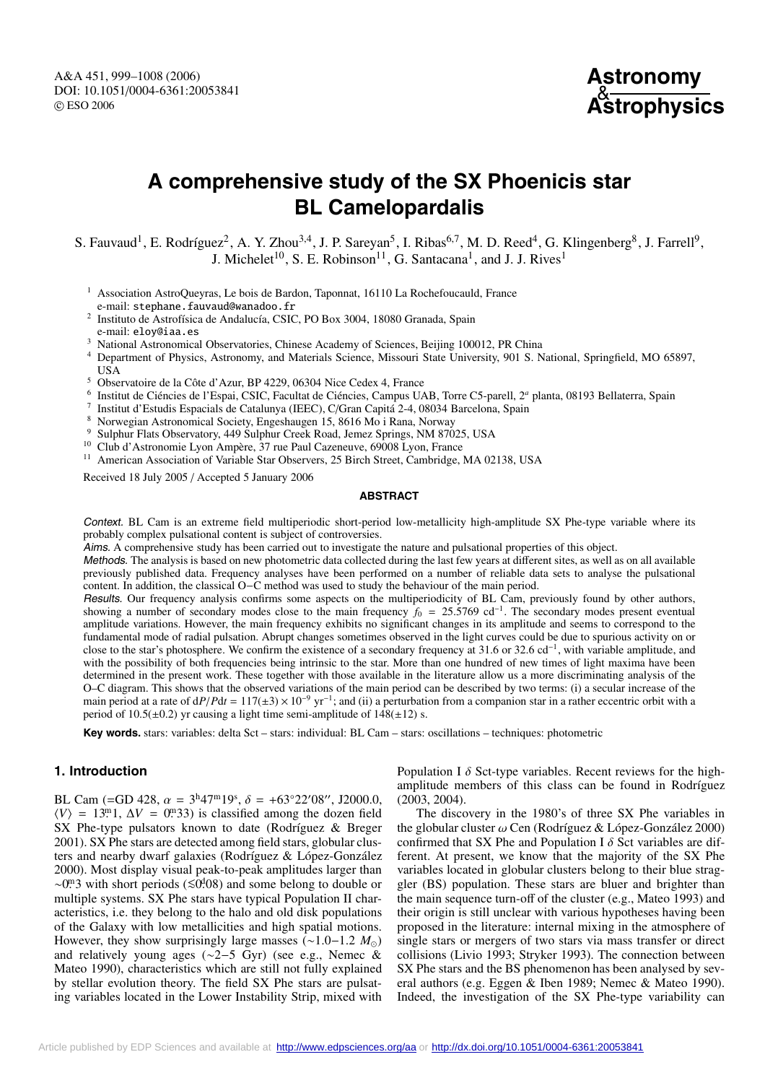A&A 451, 999–1008 (2006) DOI: 10.1051/0004-6361:20053841 c ESO 2006

**Astronomy** & **Astrophysics**

# **A comprehensive study of the SX Phoenicis star BL Camelopardalis**

S. Fauvaud<sup>1</sup>, E. Rodríguez<sup>2</sup>, A. Y. Zhou<sup>3,4</sup>, J. P. Sareyan<sup>5</sup>, I. Ribas<sup>6,7</sup>, M. D. Reed<sup>4</sup>, G. Klingenberg<sup>8</sup>, J. Farrell<sup>9</sup>, J. Michelet<sup>10</sup>, S. E. Robinson<sup>11</sup>, G. Santacana<sup>1</sup>, and J. J. Rives<sup>1</sup>

- <sup>1</sup> Association AstroQueyras, Le bois de Bardon, Taponnat, 16110 La Rochefoucauld, France e-mail: stephane.fauvaud@wanadoo.fr<br>Instituto de Astrofísica de Andalucía, CSIC, PO Box 3004, 18080 Granada, Spain
- 
- 
- e-mail: eloy@iaa.es<br><sup>3</sup> National Astronomical Observatories, Chinese Academy of Sciences, Beijing 100012, PR China<br><sup>4</sup> Department of Physics, Astronomy, and Materials Science, Missouri State University, 901 S. National, Sp USA
- <sup>5</sup> Observatoire de la Côte d'Azur, BP 4229, 06304 Nice Cedex 4, France
- <sup>6</sup> Institut de Ciéncies de l'Espai, CSIC, Facultat de Ciéncies, Campus UAB, Torre C5-parell, 2*<sup>a</sup>* planta, 08193 Bellaterra, Spain
- 
- <sup>8</sup> Norwegian Astronomical Society, Engeshaugen 15, 8616 Mo i Rana, Norway
- <sup>9</sup> Sulphur Flats Observatory, 449 Sulphur Creek Road, Jemez Springs, NM 87025, USA
- <sup>10</sup> Club d'Astronomie Lyon Ampère, 37 rue Paul Cazeneuve, 69008 Lyon, France
- <sup>11</sup> American Association of Variable Star Observers, 25 Birch Street, Cambridge, MA 02138, USA

Received 18 July 2005 / Accepted 5 January 2006

#### **ABSTRACT**

Context. BL Cam is an extreme field multiperiodic short-period low-metallicity high-amplitude SX Phe-type variable where its probably complex pulsational content is subject of controversies.

Aims. A comprehensive study has been carried out to investigate the nature and pulsational properties of this object.

Methods. The analysis is based on new photometric data collected during the last few years at different sites, as well as on all available previously published data. Frequency analyses have been performed on a number of reliable data sets to analyse the pulsational content. In addition, the classical O−C method was used to study the behaviour of the main period.

Results. Our frequency analysis confirms some aspects on the multiperiodicity of BL Cam, previously found by other authors, showing a number of secondary modes close to the main frequency  $f_0 = 25.5769$  cd<sup>-1</sup>. The secondary modes present eventual amplitude variations. However, the main frequency exhibits no significant changes in its amplitude and seems to correspond to the fundamental mode of radial pulsation. Abrupt changes sometimes observed in the light curves could be due to spurious activity on or close to the star's photosphere. We confirm the existence of a secondary frequency at 31.6 or 32.6 cd−1, with variable amplitude, and with the possibility of both frequencies being intrinsic to the star. More than one hundred of new times of light maxima have been determined in the present work. These together with those available in the literature allow us a more discriminating analysis of the O–C diagram. This shows that the observed variations of the main period can be described by two terms: (i) a secular increase of the main period at a rate of d*P*/*P*d*t* = 117(±3) × 10−<sup>9</sup> yr−1; and (ii) a perturbation from a companion star in a rather eccentric orbit with a period of  $10.5(\pm 0.2)$  yr causing a light time semi-amplitude of  $148(\pm 12)$  s.

**Key words.** stars: variables: delta Sct – stars: individual: BL Cam – stars: oscillations – techniques: photometric

## **1. Introduction**

BL Cam (=GD 428,  $\alpha = 3^{\text{h}}47^{\text{m}}19^{\text{s}}$ ,  $\delta = +63^{\circ}22'08''$ , J2000.0,  $\langle V \rangle = 13^{\text{m}}1$ ,  $\Delta V = 0^{\text{m}}33$ ) is classified among the dozen field SX Phe-type pulsators known to date (Rodríguez & Breger 2001). SX Phe stars are detected among field stars, globular clusters and nearby dwarf galaxies (Rodríguez & López-González 2000). Most display visual peak-to-peak amplitudes larger than ∼0<sup>m</sup>3 with short periods (≈0<sup>4</sup>08) and some belong to double or multiple systems. SX Phe stars have typical Population II characteristics, i.e. they belong to the halo and old disk populations of the Galaxy with low metallicities and high spatial motions. However, they show surprisingly large masses ( $\sim$ 1.0−1.2 *M*<sub>☉</sub>) and relatively young ages (∼2−5 Gyr) (see e.g., Nemec & Mateo 1990), characteristics which are still not fully explained by stellar evolution theory. The field SX Phe stars are pulsating variables located in the Lower Instability Strip, mixed with

Population I  $\delta$  Sct-type variables. Recent reviews for the highamplitude members of this class can be found in Rodríguez (2003, 2004).

The discovery in the 1980's of three SX Phe variables in the globular cluster  $\omega$  Cen (Rodríguez & López-González 2000) confirmed that SX Phe and Population I  $\delta$  Sct variables are different. At present, we know that the majority of the SX Phe variables located in globular clusters belong to their blue straggler (BS) population. These stars are bluer and brighter than the main sequence turn-off of the cluster (e.g., Mateo 1993) and their origin is still unclear with various hypotheses having been proposed in the literature: internal mixing in the atmosphere of single stars or mergers of two stars via mass transfer or direct collisions (Livio 1993; Stryker 1993). The connection between SX Phe stars and the BS phenomenon has been analysed by several authors (e.g. Eggen & Iben 1989; Nemec & Mateo 1990). Indeed, the investigation of the SX Phe-type variability can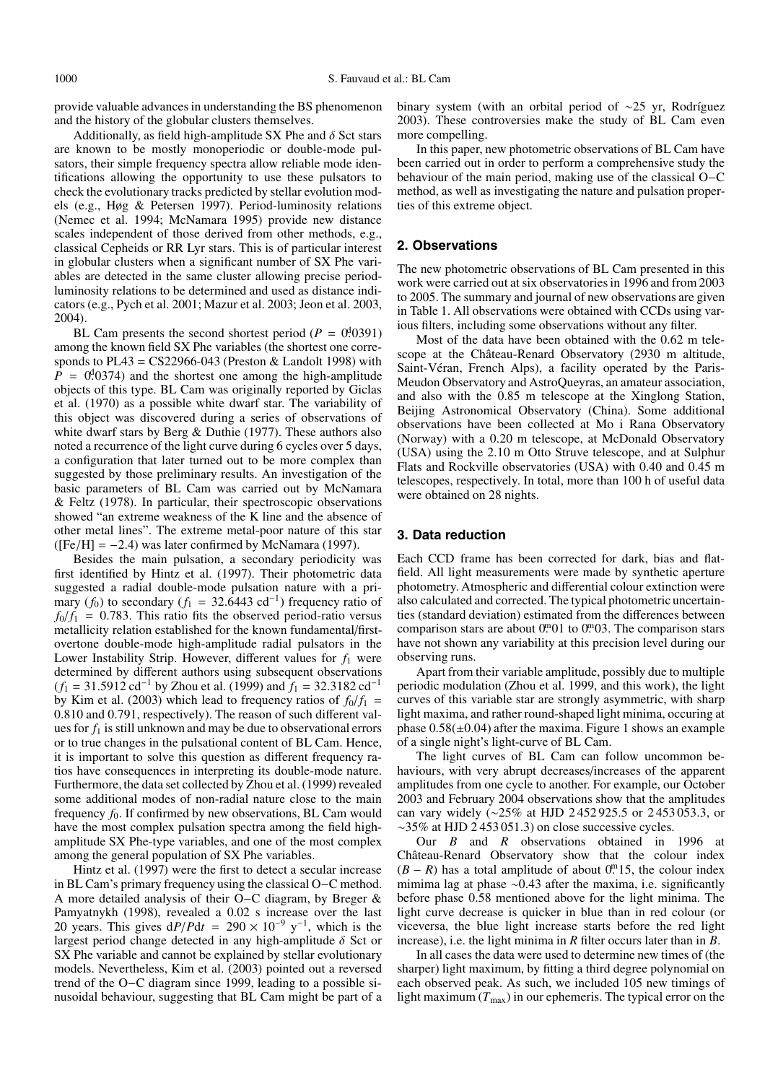provide valuable advances in understanding the BS phenomenon and the history of the globular clusters themselves.

Additionally, as field high-amplitude SX Phe and  $\delta$  Sct stars are known to be mostly monoperiodic or double-mode pulsators, their simple frequency spectra allow reliable mode identifications allowing the opportunity to use these pulsators to check the evolutionary tracks predicted by stellar evolution models (e.g., Høg & Petersen 1997). Period-luminosity relations (Nemec et al. 1994; McNamara 1995) provide new distance scales independent of those derived from other methods, e.g., classical Cepheids or RR Lyr stars. This is of particular interest in globular clusters when a significant number of SX Phe variables are detected in the same cluster allowing precise periodluminosity relations to be determined and used as distance indicators (e.g., Pych et al. 2001; Mazur et al. 2003; Jeon et al. 2003, 2004).

BL Cam presents the second shortest period ( $P = 0^d/0391$ ) among the known field SX Phe variables (the shortest one corresponds to  $PL43 = CS22966-043$  (Preston & Landolt 1998) with  $\overline{P}$  = 0.40374) and the shortest one among the high-amplitude objects of this type. BL Cam was originally reported by Giclas et al. (1970) as a possible white dwarf star. The variability of this object was discovered during a series of observations of white dwarf stars by Berg & Duthie (1977). These authors also noted a recurrence of the light curve during 6 cycles over 5 days, a configuration that later turned out to be more complex than suggested by those preliminary results. An investigation of the basic parameters of BL Cam was carried out by McNamara & Feltz (1978). In particular, their spectroscopic observations showed "an extreme weakness of the K line and the absence of other metal lines". The extreme metal-poor nature of this star ( $[Fe/H] = -2.4$ ) was later confirmed by McNamara (1997).

Besides the main pulsation, a secondary periodicity was first identified by Hintz et al. (1997). Their photometric data suggested a radial double-mode pulsation nature with a primary ( $f_0$ ) to secondary ( $f_1 = 32.6443$  cd<sup>-1</sup>) frequency ratio of  $f_0/f_1 = 0.783$ . This ratio fits the observed period-ratio versus metallicity relation established for the known fundamental/firstovertone double-mode high-amplitude radial pulsators in the Lower Instability Strip. However, different values for  $f_1$  were determined by different authors using subsequent observations (*f*<sup>1</sup> = 31.5912 cd−<sup>1</sup> by Zhou et al. (1999) and *f*<sup>1</sup> = 32.3182 cd−<sup>1</sup> by Kim et al. (2003) which lead to frequency ratios of  $f_0/f_1$  = 0.810 and 0.791, respectively). The reason of such different values for  $f_1$  is still unknown and may be due to observational errors or to true changes in the pulsational content of BL Cam. Hence, it is important to solve this question as different frequency ratios have consequences in interpreting its double-mode nature. Furthermore, the data set collected by Zhou et al. (1999) revealed some additional modes of non-radial nature close to the main frequency  $f_0$ . If confirmed by new observations, BL Cam would have the most complex pulsation spectra among the field highamplitude SX Phe-type variables, and one of the most complex among the general population of SX Phe variables.

Hintz et al. (1997) were the first to detect a secular increase in BL Cam's primary frequency using the classical O−C method. A more detailed analysis of their O−C diagram, by Breger & Pamyatnykh (1998), revealed a 0.02 s increase over the last 20 years. This gives  $dP/Pdt = 290 \times 10^{-9}$  y<sup>-1</sup>, which is the largest period change detected in any high-amplitude  $\delta$  Sct or SX Phe variable and cannot be explained by stellar evolutionary models. Nevertheless, Kim et al. (2003) pointed out a reversed trend of the O−C diagram since 1999, leading to a possible sinusoidal behaviour, suggesting that BL Cam might be part of a

binary system (with an orbital period of ∼25 yr, Rodríguez 2003). These controversies make the study of BL Cam even more compelling.

In this paper, new photometric observations of BL Cam have been carried out in order to perform a comprehensive study the behaviour of the main period, making use of the classical O−C method, as well as investigating the nature and pulsation properties of this extreme object.

## **2. Observations**

The new photometric observations of BL Cam presented in this work were carried out at six observatories in 1996 and from 2003 to 2005. The summary and journal of new observations are given in Table 1. All observations were obtained with CCDs using various filters, including some observations without any filter.

Most of the data have been obtained with the 0.62 m telescope at the Château-Renard Observatory (2930 m altitude, Saint-Véran, French Alps), a facility operated by the Paris-Meudon Observatory and AstroQueyras, an amateur association, and also with the 0.85 m telescope at the Xinglong Station, Beijing Astronomical Observatory (China). Some additional observations have been collected at Mo i Rana Observatory (Norway) with a 0.20 m telescope, at McDonald Observatory (USA) using the 2.10 m Otto Struve telescope, and at Sulphur Flats and Rockville observatories (USA) with 0.40 and 0.45 m telescopes, respectively. In total, more than 100 h of useful data were obtained on 28 nights.

#### **3. Data reduction**

Each CCD frame has been corrected for dark, bias and flatfield. All light measurements were made by synthetic aperture photometry. Atmospheric and differential colour extinction were also calculated and corrected. The typical photometric uncertainties (standard deviation) estimated from the differences between comparison stars are about  $0.01$  to  $0.03$ . The comparison stars have not shown any variability at this precision level during our observing runs.

Apart from their variable amplitude, possibly due to multiple periodic modulation (Zhou et al. 1999, and this work), the light curves of this variable star are strongly asymmetric, with sharp light maxima, and rather round-shaped light minima, occuring at phase  $0.58(\pm 0.04)$  after the maxima. Figure 1 shows an example of a single night's light-curve of BL Cam.

The light curves of BL Cam can follow uncommon behaviours, with very abrupt decreases/increases of the apparent amplitudes from one cycle to another. For example, our October 2003 and February 2004 observations show that the amplitudes can vary widely (∼25% at HJD 2 452 925.5 or 2 453 053.3, or  $\sim$ 35% at HJD 2 453 051.3) on close successive cycles.

Our *B* and *R* observations obtained in 1996 at Château-Renard Observatory show that the colour index  $(B - R)$  has a total amplitude of about 0.<sup>m</sup>15, the colour index mimima lag at phase ∼0.43 after the maxima, i.e. significantly before phase 0.58 mentioned above for the light minima. The light curve decrease is quicker in blue than in red colour (or viceversa, the blue light increase starts before the red light increase), i.e. the light minima in *R* filter occurs later than in *B*.

In all cases the data were used to determine new times of (the sharper) light maximum, by fitting a third degree polynomial on each observed peak. As such, we included 105 new timings of light maximum  $(T_{\text{max}})$  in our ephemeris. The typical error on the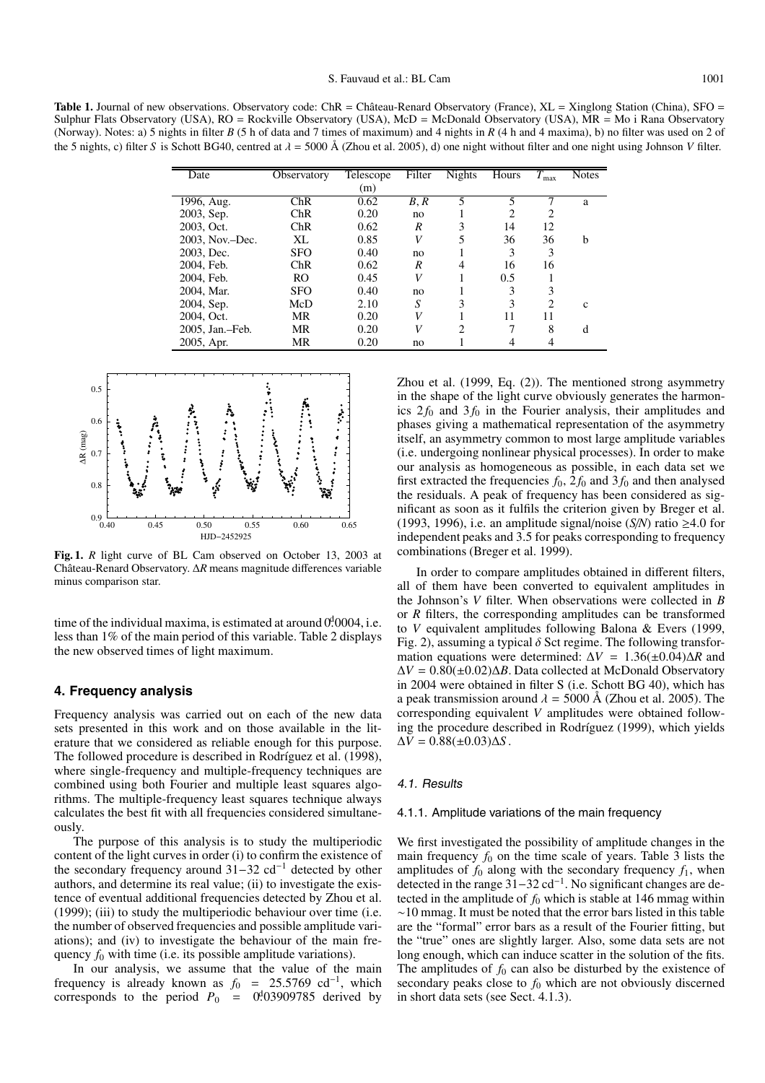**Table 1.** Journal of new observations. Observatory code: ChR = Château-Renard Observatory (France), XL = Xinglong Station (China), SFO = Sulphur Flats Observatory (USA), RO = Rockville Observatory (USA), McD = McDonald Observatory (USA), MR = Mo i Rana Observatory (Norway). Notes: a) 5 nights in filter *B* (5 h of data and 7 times of maximum) and 4 nights in *R* (4 h and 4 maxima), b) no filter was used on 2 of the 5 nights, c) filter *S* is Schott BG40, centred at  $\lambda = 5000$  Å (Zhou et al. 2005), d) one night without filter and one night using Johnson *V* filter.

| Date            | Observatory | Telescope | Filter | <b>Nights</b>               | Hours | $T_{\rm max}$                 | <b>Notes</b> |
|-----------------|-------------|-----------|--------|-----------------------------|-------|-------------------------------|--------------|
|                 |             | (m)       |        |                             |       |                               |              |
| 1996, Aug.      | ChR         | 0.62      | B, R   | 5                           | 5     |                               | a            |
| 2003, Sep.      | ChR         | 0.20      | no     |                             | 2     | 2                             |              |
| 2003, Oct.      | ChR         | 0.62      | R      |                             | 14    | 12                            |              |
| 2003. Nov.-Dec. | XL          | 0.85      | V      | 5                           | 36    | 36                            | b            |
| 2003, Dec.      | <b>SFO</b>  | 0.40      | no     |                             | 3     | 3                             |              |
| 2004, Feb.      | ChR         | 0.62      | R      | 4                           | 16    | 16                            |              |
| 2004, Feb.      | RO          | 0.45      | V      |                             | 0.5   |                               |              |
| 2004, Mar.      | <b>SFO</b>  | 0.40      | no     |                             | 3     | 3                             |              |
| 2004, Sep.      | McD         | 2.10      | S      | 3                           | 3     | $\mathfrak{D}_{\mathfrak{p}}$ | c            |
| 2004, Oct.      | MR          | 0.20      | V      |                             | 11    | 11                            |              |
| 2005, Jan.-Feb. | MR          | 0.20      | V      | $\mathcal{D}_{\mathcal{L}}$ | 7     | 8                             | d            |
| 2005, Apr.      | MR          | 0.20      | no     |                             | 4     |                               |              |



**Fig. 1.** *R* light curve of BL Cam observed on October 13, 2003 at Château-Renard Observatory. ∆*R* means magnitude differences variable minus comparison star.

time of the individual maxima, is estimated at around  $0<sup>d</sup>0004$ , i.e. less than 1% of the main period of this variable. Table 2 displays the new observed times of light maximum.

## **4. Frequency analysis**

Frequency analysis was carried out on each of the new data sets presented in this work and on those available in the literature that we considered as reliable enough for this purpose. The followed procedure is described in Rodríguez et al. (1998), where single-frequency and multiple-frequency techniques are combined using both Fourier and multiple least squares algorithms. The multiple-frequency least squares technique always calculates the best fit with all frequencies considered simultaneously.

The purpose of this analysis is to study the multiperiodic content of the light curves in order (i) to confirm the existence of the secondary frequency around  $31-32$  cd<sup>-1</sup> detected by other authors, and determine its real value; (ii) to investigate the existence of eventual additional frequencies detected by Zhou et al. (1999); (iii) to study the multiperiodic behaviour over time (i.e. the number of observed frequencies and possible amplitude variations); and (iv) to investigate the behaviour of the main frequency  $f_0$  with time (i.e. its possible amplitude variations).

In our analysis, we assume that the value of the main frequency is already known as  $f_0$  = 25.5769 cd<sup>-1</sup>, which corresponds to the period  $P_0 = 0.03909785$  derived by

Zhou et al. (1999, Eq. (2)). The mentioned strong asymmetry in the shape of the light curve obviously generates the harmonics  $2f_0$  and  $3f_0$  in the Fourier analysis, their amplitudes and phases giving a mathematical representation of the asymmetry itself, an asymmetry common to most large amplitude variables (i.e. undergoing nonlinear physical processes). In order to make our analysis as homogeneous as possible, in each data set we first extracted the frequencies  $f_0$ ,  $2f_0$  and  $3f_0$  and then analysed the residuals. A peak of frequency has been considered as significant as soon as it fulfils the criterion given by Breger et al. (1993, 1996), i.e. an amplitude signal/noise (*S/N*) ratio  $\geq$ 4.0 for independent peaks and 3.5 for peaks corresponding to frequency combinations (Breger et al. 1999).

In order to compare amplitudes obtained in different filters, all of them have been converted to equivalent amplitudes in the Johnson's *V* filter. When observations were collected in *B* or *R* filters, the corresponding amplitudes can be transformed to *V* equivalent amplitudes following Balona & Evers (1999, Fig. 2), assuming a typical  $\delta$  Sct regime. The following transformation equations were determined:  $\Delta V = 1.36(\pm 0.04)\Delta R$  and ∆*V* = 0.80(±0.02)∆*B*. Data collected at McDonald Observatory in 2004 were obtained in filter S (i.e. Schott BG 40), which has a peak transmission around  $\lambda = 5000$  Å (Zhou et al. 2005). The corresponding equivalent *V* amplitudes were obtained following the procedure described in Rodríguez (1999), which yields  $\Delta V = 0.88(\pm 0.03)\Delta S$ .

#### 4.1. Results

#### 4.1.1. Amplitude variations of the main frequency

We first investigated the possibility of amplitude changes in the main frequency  $f_0$  on the time scale of years. Table 3 lists the amplitudes of  $f_0$  along with the secondary frequency  $f_1$ , when detected in the range  $31-32$  cd<sup>-1</sup>. No significant changes are detected in the amplitude of  $f_0$  which is stable at 146 mmag within ∼10 mmag. It must be noted that the error bars listed in this table are the "formal" error bars as a result of the Fourier fitting, but the "true" ones are slightly larger. Also, some data sets are not long enough, which can induce scatter in the solution of the fits. The amplitudes of  $f_0$  can also be disturbed by the existence of secondary peaks close to  $f_0$  which are not obviously discerned in short data sets (see Sect. 4.1.3).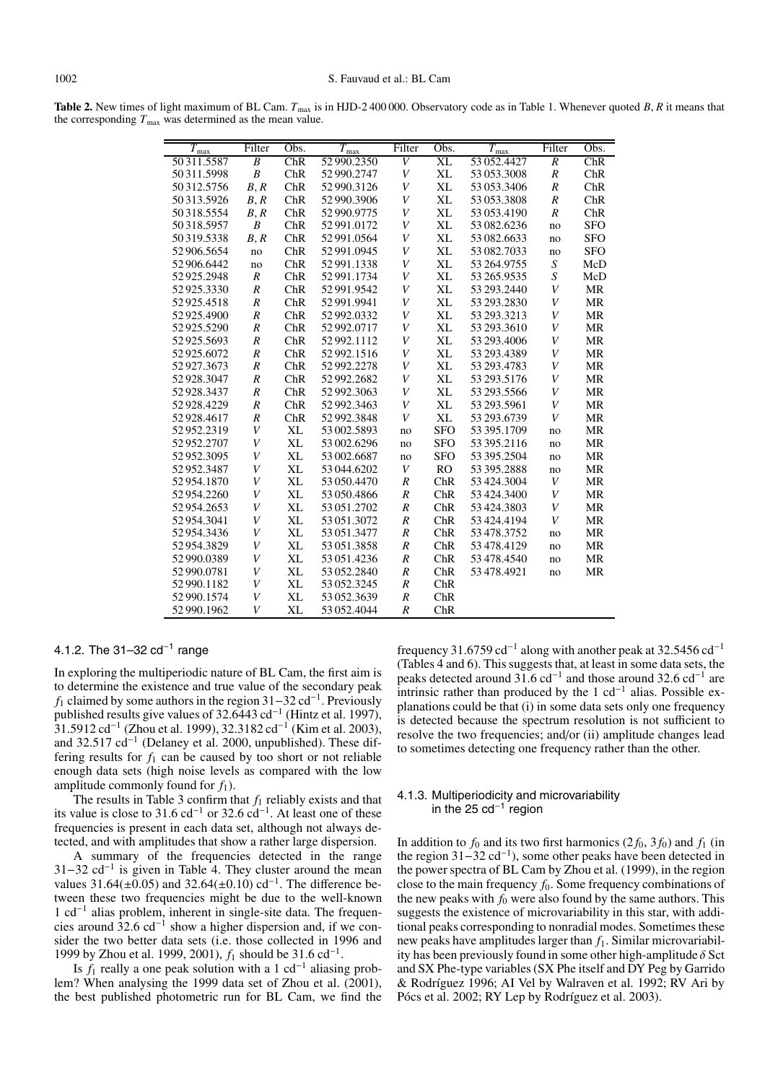**Table 2.** New times of light maximum of BL Cam.  $T_{\text{max}}$  is in HJD-2 400 000. Observatory code as in Table 1. Whenever quoted *B*, *R* it means that the corresponding  $T_{\text{max}}$  was determined as the mean value.

| $T_{\rm max}$ | Filter           | Obs. | $T_{\rm max}$ | Filter           | Obs.                   | $\overline{T}_{\text{max}}$ | Filter           | Obs.       |
|---------------|------------------|------|---------------|------------------|------------------------|-----------------------------|------------------|------------|
| 50311.5587    | $\overline{B}$   | ChR  | 52 990.2350   | $\overline{V}$   | $\overline{\text{XL}}$ | 53 052.4427                 | $\overline{R}$   | ChR        |
| 50311.5998    | $\boldsymbol{B}$ | ChR  | 52 990.2747   | V                | XL                     | 53 053.3008                 | $\boldsymbol{R}$ | ChR        |
| 50312.5756    | B, R             | ChR  | 52 990.3126   | V                | XL                     | 53 053.3406                 | $\boldsymbol{R}$ | ChR        |
| 50 313.5926   | B, R             | ChR  | 52 990.3906   | V                | XL                     | 53 053.3808                 | $\boldsymbol{R}$ | ChR        |
| 50318.5554    | B, R             | ChR  | 52 990.9775   | V                | XL                     | 53 053.4190                 | $\boldsymbol{R}$ | ChR        |
| 50318.5957    | $\boldsymbol{B}$ | ChR  | 52 991.0172   | V                | XL                     | 53 082.6236                 | no               | <b>SFO</b> |
| 50319.5338    | B, R             | ChR  | 52 991.0564   | V                | XL                     | 53 082.6633                 | no               | <b>SFO</b> |
| 52 906.5654   | no               | ChR  | 52 991.0945   | V                | XL                     | 53 082.7033                 | no               | SFO        |
| 52 906.6442   | no               | ChR  | 52 991.1338   | V                | XL                     | 53 264.9755                 | $\boldsymbol{S}$ | McD        |
| 52925.2948    | $\boldsymbol{R}$ | ChR  | 52 991.1734   | V                | XL                     | 53 265.9535                 | $\boldsymbol{S}$ | McD        |
| 52925.3330    | $\boldsymbol{R}$ | ChR  | 52 991.9542   | V                | XL                     | 53 293.2440                 | $\boldsymbol{V}$ | <b>MR</b>  |
| 52925.4518    | $\boldsymbol{R}$ | ChR  | 52 991.9941   | V                | XL                     | 53 293.2830                 | V                | <b>MR</b>  |
| 52925.4900    | $\boldsymbol{R}$ | ChR  | 52 992.0332   | V                | XL                     | 53 293.3213                 | V                | <b>MR</b>  |
| 52925.5290    | $\boldsymbol{R}$ | ChR  | 52 992.0717   | $\bar{V}$        | XL                     | 53 293.3610                 | $\boldsymbol{V}$ | <b>MR</b>  |
| 52925.5693    | $\boldsymbol{R}$ | ChR  | 52 992.1112   | V                | XL                     | 53 293.4006                 | $\boldsymbol{V}$ | <b>MR</b>  |
| 52925.6072    | $\boldsymbol{R}$ | ChR  | 52 992.1516   | V                | XL                     | 53 293.4389                 | $\boldsymbol{V}$ | <b>MR</b>  |
| 52927.3673    | $\boldsymbol{R}$ | ChR  | 52 992.2278   | V                | XL                     | 53 293.4783                 | $\boldsymbol{V}$ | <b>MR</b>  |
| 52928.3047    | $\boldsymbol{R}$ | ChR  | 52 992.2682   | V                | XL                     | 53 293.5176                 | $\boldsymbol{V}$ | <b>MR</b>  |
| 52928.3437    | $\boldsymbol{R}$ | ChR  | 52 992.3063   | V                | XL                     | 53 293.5566                 | $\boldsymbol{V}$ | <b>MR</b>  |
| 52928.4229    | $\boldsymbol{R}$ | ChR  | 52 992.3463   | V                | XL                     | 53 293.5961                 | $\boldsymbol{V}$ | <b>MR</b>  |
| 52928.4617    | $\boldsymbol{R}$ | ChR  | 52 992.3848   | $\bar{V}$        | XL                     | 53 293.6739                 | $\boldsymbol{V}$ | <b>MR</b>  |
| 52952.2319    | $\boldsymbol{V}$ | XL   | 53 002.5893   | no               | <b>SFO</b>             | 53 395.1709                 | no               | <b>MR</b>  |
| 52952.2707    | $\boldsymbol{V}$ | XL   | 53 002.6296   | no               | <b>SFO</b>             | 53 395.2116                 | no               | <b>MR</b>  |
| 52952.3095    | V                | XL   | 53 002,6687   | no               | <b>SFO</b>             | 53 395.2504                 | no               | <b>MR</b>  |
| 52952.3487    | V                | XL   | 53 044,6202   | V                | R <sub>O</sub>         | 53 395.2888                 | no               | <b>MR</b>  |
| 52954.1870    | V                | XL   | 53 050.4470   | $\boldsymbol{R}$ | ChR                    | 53 424.3004                 | $\boldsymbol{V}$ | <b>MR</b>  |
| 52954.2260    | V                | XL   | 53 050.4866   | $\boldsymbol{R}$ | ChR                    | 53 424.3400                 | $\boldsymbol{V}$ | <b>MR</b>  |
| 52954.2653    | V                | XL   | 53 051.2702   | $\boldsymbol{R}$ | ChR                    | 53 424.3803                 | $\boldsymbol{V}$ | <b>MR</b>  |
| 52954.3041    | V                | XL   | 53 051.3072   | R                | ChR                    | 53 424.4194                 | $\boldsymbol{V}$ | MR         |
| 52954.3436    | V                | XL   | 53 051.3477   | $\boldsymbol{R}$ | ChR                    | 53 478.3752                 | no               | <b>MR</b>  |
| 52954.3829    | V                | XL   | 53051.3858    | $\boldsymbol{R}$ | ChR                    | 53 478.4129                 | no               | MR         |
| 52990.0389    | V                | XL   | 53 051.4236   | $\boldsymbol{R}$ | ChR                    | 53 478.4540                 | no               | MR         |
| 52 990.0781   | V                | XL   | 53 052.2840   | $\boldsymbol{R}$ | ChR                    | 53 478.4921                 | no               | MR         |
| 52 990.1182   | V                | XL   | 53 052.3245   | $\boldsymbol{R}$ | ChR                    |                             |                  |            |
| 52 990.1574   | V                | XL   | 53 052.3639   | $\boldsymbol{R}$ | ChR                    |                             |                  |            |
| 52 990.1962   | V                | XL   | 53 052.4044   | $\boldsymbol{R}$ | ChR                    |                             |                  |            |

# 4.1.2. The 31–32 cd<sup>-1</sup> range

In exploring the multiperiodic nature of BL Cam, the first aim is to determine the existence and true value of the secondary peak *f*<sub>1</sub> claimed by some authors in the region  $31-32 \text{ cd}^{-1}$ . Previously published results give values of 32.6443 cd<sup>-1</sup> (Hintz et al. 1997), 31.5912 cd<sup>-1</sup> (Zhou et al. 1999), 32.3182 cd<sup>-1</sup> (Kim et al. 2003), and 32.517 cd−<sup>1</sup> (Delaney et al. 2000, unpublished). These differing results for  $f_1$  can be caused by too short or not reliable enough data sets (high noise levels as compared with the low amplitude commonly found for  $f_1$ ).

The results in Table 3 confirm that *f*<sup>1</sup> reliably exists and that its value is close to 31.6 cd<sup>-1</sup> or 32.6 cd<sup>-1</sup>. At least one of these frequencies is present in each data set, although not always detected, and with amplitudes that show a rather large dispersion.

A summary of the frequencies detected in the range  $31-32$  cd<sup>-1</sup> is given in Table 4. They cluster around the mean values  $31.64(\pm 0.05)$  and  $32.64(\pm 0.10)$  cd<sup>-1</sup>. The difference between these two frequencies might be due to the well-known 1 cd−<sup>1</sup> alias problem, inherent in single-site data. The frequencies around 32.6 cd−<sup>1</sup> show a higher dispersion and, if we consider the two better data sets (i.e. those collected in 1996 and 1999 by Zhou et al. 1999, 2001), *f*<sup>1</sup> should be 31.6 cd−1.

Is  $f_1$  really a one peak solution with a 1 cd<sup>-1</sup> aliasing problem? When analysing the 1999 data set of Zhou et al. (2001), the best published photometric run for BL Cam, we find the frequency 31.6759  $cd^{-1}$  along with another peak at 32.5456  $cd^{-1}$ (Tables 4 and 6). This suggests that, at least in some data sets, the peaks detected around 31.6 cd<sup>-1</sup> and those around 32.6 cd<sup>-1</sup> are intrinsic rather than produced by the 1  $cd^{-1}$  alias. Possible explanations could be that (i) in some data sets only one frequency is detected because the spectrum resolution is not sufficient to resolve the two frequencies; and/or (ii) amplitude changes lead to sometimes detecting one frequency rather than the other.

## 4.1.3. Multiperiodicity and microvariability in the 25  $\text{cd}^{-1}$  region

In addition to  $f_0$  and its two first harmonics (2 $f_0$ , 3 $f_0$ ) and  $f_1$  (in the region 31−32 cd−1), some other peaks have been detected in the power spectra of BL Cam by Zhou et al. (1999), in the region close to the main frequency *f*<sub>0</sub>. Some frequency combinations of the new peaks with  $f_0$  were also found by the same authors. This suggests the existence of microvariability in this star, with additional peaks corresponding to nonradial modes. Sometimes these new peaks have amplitudes larger than *f*1. Similar microvariability has been previously found in some other high-amplitude  $\delta$  Sct and SX Phe-type variables (SX Phe itself and DY Peg by Garrido & Rodríguez 1996; AI Vel by Walraven et al. 1992; RV Ari by Pócs et al. 2002; RY Lep by Rodríguez et al. 2003).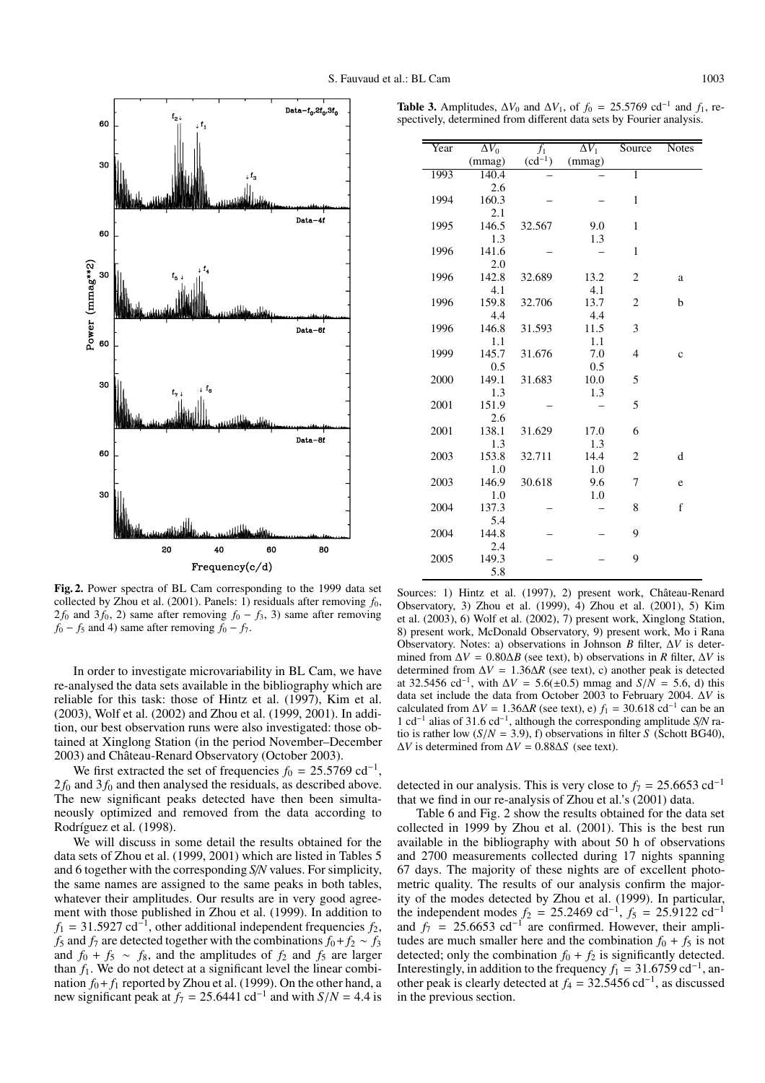

**Table 3.** Amplitudes,  $\Delta V_0$  and  $\Delta V_1$ , of  $f_0 = 25.5769$  cd<sup>-1</sup> and  $f_1$ , respectively, determined from different data sets by Fourier analysis.

| Year | $\Delta V_0$ | $f_1$       | $\Delta V_1$ | Source         | <b>Notes</b> |
|------|--------------|-------------|--------------|----------------|--------------|
|      | (mmag)       | $(cd^{-1})$ | (mmag)       |                |              |
| 1993 | 140.4        |             |              | 1              |              |
|      | 2.6          |             |              |                |              |
| 1994 | 160.3        |             |              | $\mathbf{1}$   |              |
|      | 2.1          |             |              |                |              |
| 1995 | 146.5        | 32.567      | 9.0          | 1              |              |
|      | 1.3          |             | 1.3          |                |              |
| 1996 | 141.6        |             |              | $\mathbf{1}$   |              |
|      | 2.0          |             |              |                |              |
| 1996 | 142.8        | 32.689      | 13.2         | 2              | a            |
|      | 4.1          |             | 4.1          |                |              |
| 1996 | 159.8        | 32.706      | 13.7         | $\overline{2}$ | b            |
|      | 4.4          |             | 4.4          |                |              |
| 1996 | 146.8        | 31.593      | 11.5         | 3              |              |
|      | 1.1          |             | 1.1          |                |              |
| 1999 | 145.7        | 31.676      | 7.0          | $\overline{4}$ | $\mathbf{c}$ |
|      | 0.5          |             | 0.5          |                |              |
| 2000 | 149.1        | 31.683      | 10.0         | 5              |              |
|      | 1.3          |             | 1.3          |                |              |
| 2001 | 151.9        |             |              | 5              |              |
|      | 2.6          |             |              |                |              |
| 2001 | 138.1        | 31.629      | 17.0         | 6              |              |
|      | 1.3          |             | 1.3          |                |              |
| 2003 | 153.8        | 32.711      | 14.4         | 2              | d            |
|      | 1.0          |             | 1.0          |                |              |
| 2003 | 146.9        | 30.618      | 9.6          | 7              | e            |
|      | 1.0          |             | 1.0          |                |              |
| 2004 | 137.3        |             |              | 8              | f            |
|      | 5.4          |             |              |                |              |
| 2004 | 144.8        |             |              | 9              |              |
|      | 2.4          |             |              |                |              |
| 2005 | 149.3        |             |              | 9              |              |
|      | 5.8          |             |              |                |              |

**Fig. 2.** Power spectra of BL Cam corresponding to the 1999 data set collected by Zhou et al. (2001). Panels: 1) residuals after removing  $f_0$ , 2 $f_0$  and 3 $f_0$ , 2) same after removing  $f_0 - f_3$ , 3) same after removing  $f_0 - f_5$  and 4) same after removing  $f_0 - f_7$ .

In order to investigate microvariability in BL Cam, we have re-analysed the data sets available in the bibliography which are reliable for this task: those of Hintz et al. (1997), Kim et al. (2003), Wolf et al. (2002) and Zhou et al. (1999, 2001). In addition, our best observation runs were also investigated: those obtained at Xinglong Station (in the period November–December 2003) and Château-Renard Observatory (October 2003).

We first extracted the set of frequencies  $f_0 = 25.5769 \text{ cd}^{-1}$ ,  $2f_0$  and  $3f_0$  and then analysed the residuals, as described above. The new significant peaks detected have then been simultaneously optimized and removed from the data according to Rodríguez et al. (1998).

We will discuss in some detail the results obtained for the data sets of Zhou et al. (1999, 2001) which are listed in Tables 5 and 6 together with the corresponding *S*/*N* values. For simplicity, the same names are assigned to the same peaks in both tables, whatever their amplitudes. Our results are in very good agreement with those published in Zhou et al. (1999). In addition to  $f_1$  = 31.5927 cd<sup>-1</sup>, other additional independent frequencies  $f_2$ , *f*<sub>5</sub> and *f*<sub>7</sub> are detected together with the combinations  $f_0 + f_2 \sim f_3$ and  $f_0 + f_5 \sim f_8$ , and the amplitudes of  $f_2$  and  $f_5$  are larger than  $f_1$ . We do not detect at a significant level the linear combination  $f_0 + f_1$  reported by Zhou et al. (1999). On the other hand, a new significant peak at  $f_7 = 25.6441 \text{ cd}^{-1}$  and with  $S/N = 4.4$  is

Sources: 1) Hintz et al. (1997), 2) present work, Château-Renard Observatory, 3) Zhou et al. (1999), 4) Zhou et al. (2001), 5) Kim et al. (2003), 6) Wolf et al. (2002), 7) present work, Xinglong Station, 8) present work, McDonald Observatory, 9) present work, Mo i Rana Observatory. Notes: a) observations in Johnson *B* filter, ∆*V* is determined from  $\Delta V = 0.80 \Delta B$  (see text), b) observations in *R* filter,  $\Delta V$  is determined from  $\Delta V = 1.36\Delta R$  (see text), c) another peak is detected at 32.5456 cd<sup>-1</sup>, with  $\Delta V = 5.6(\pm 0.5)$  mmag and  $S/N = 5.6$ , d) this data set include the data from October 2003 to February 2004. ∆*V* is calculated from  $\Delta V = 1.36\Delta R$  (see text), e)  $f_1 = 30.618$  cd<sup>-1</sup> can be an 1 cd−<sup>1</sup> alias of 31.6 cd−1, although the corresponding amplitude *S*/*N* ratio is rather low  $(S/N = 3.9)$ , f) observations in filter *S* (Schott BG40),  $\Delta V$  is determined from  $\Delta V = 0.88 \Delta S$  (see text).

detected in our analysis. This is very close to  $f_7 = 25.6653$  cd<sup>-1</sup> that we find in our re-analysis of Zhou et al.'s (2001) data.

Table 6 and Fig. 2 show the results obtained for the data set collected in 1999 by Zhou et al. (2001). This is the best run available in the bibliography with about 50 h of observations and 2700 measurements collected during 17 nights spanning 67 days. The majority of these nights are of excellent photometric quality. The results of our analysis confirm the majority of the modes detected by Zhou et al. (1999). In particular, the independent modes  $f_2 = 25.2469 \text{ cd}^{-1}$ ,  $f_5 = 25.9122 \text{ cd}^{-1}$ and  $f_7$  = 25.6653 cd<sup>-1</sup> are confirmed. However, their amplitudes are much smaller here and the combination  $f_0 + f_5$  is not detected; only the combination  $f_0 + f_2$  is significantly detected. Interestingly, in addition to the frequency  $f_1 = 31.6759 \text{ cd}^{-1}$ , another peak is clearly detected at  $f_4 = 32.5456 \text{ cd}^{-1}$ , as discussed in the previous section.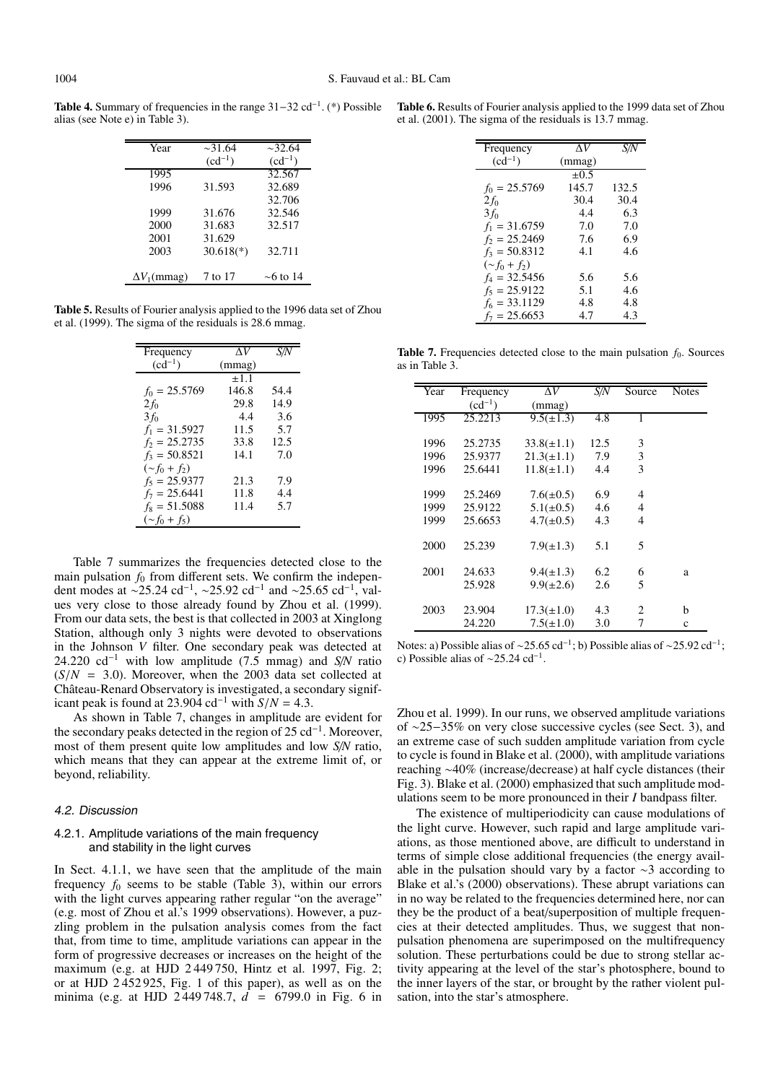Table 4. Summary of frequencies in the range 31–32 cd<sup>-1</sup>. (\*) Possible alias (see Note e) in Table 3).

| Year                | $\sim$ 31.64 | $\sim$ 32.64   |
|---------------------|--------------|----------------|
|                     | $(cd^{-1})$  | $(cd^{-1})$    |
| 1995                |              | 32.567         |
| 1996                | 31.593       | 32.689         |
|                     |              | 32.706         |
| 1999                | 31.676       | 32.546         |
| 2000                | 31.683       | 32.517         |
| 2001                | 31.629       |                |
| 2003                | $30.618(*)$  | 32.711         |
|                     |              |                |
| $\Delta V_1$ (mmag) | 7 to 17      | $\sim$ 6 to 14 |

**Table 5.** Results of Fourier analysis applied to the 1996 data set of Zhou et al. (1999). The sigma of the residuals is 28.6 mmag.

| Frequency          | $\Lambda V$ |      |
|--------------------|-------------|------|
| $(cd^{-1})$        | (mmag)      |      |
|                    | $\pm 1.1$   |      |
| $f_0 = 25.5769$    | 146.8       | 54.4 |
| $2f_0$             | 29.8        | 14.9 |
| $3f_0$             | 4.4         | 3.6  |
| $f_1 = 31.5927$    | 11.5        | 5.7  |
| $f_2 = 25.2735$    | 33.8        | 12.5 |
| $f_3 = 50.8521$    | 14.1        | 7.0  |
| $(\sim f_0 + f_2)$ |             |      |
| $f_5 = 25.9377$    | 21.3        | 7.9  |
| $f_7 = 25.6441$    | 11.8        | 4.4  |
| $f_8 = 51.5088$    | 11.4        | 5.7  |
| $(\sim f_0 + f_5)$ |             |      |

Table 7 summarizes the frequencies detected close to the main pulsation  $f_0$  from different sets. We confirm the independent modes at ∼25.24 cd−1, ∼25.92 cd−<sup>1</sup> and ∼25.65 cd−1, values very close to those already found by Zhou et al. (1999). From our data sets, the best is that collected in 2003 at Xinglong Station, although only 3 nights were devoted to observations in the Johnson *V* filter. One secondary peak was detected at 24.220 cd−<sup>1</sup> with low amplitude (7.5 mmag) and *S*/*N* ratio  $(S/N = 3.0)$ . Moreover, when the 2003 data set collected at Château-Renard Observatory is investigated, a secondary significant peak is found at 23.904 cd<sup>-1</sup> with  $S/N = 4.3$ .

As shown in Table 7, changes in amplitude are evident for the secondary peaks detected in the region of 25 cd<sup>-1</sup>. Moreover, most of them present quite low amplitudes and low *S*/*N* ratio, which means that they can appear at the extreme limit of, or beyond, reliability.

#### 4.2. Discussion

#### 4.2.1. Amplitude variations of the main frequency and stability in the light curves

In Sect. 4.1.1, we have seen that the amplitude of the main frequency  $f_0$  seems to be stable (Table 3), within our errors with the light curves appearing rather regular "on the average" (e.g. most of Zhou et al.'s 1999 observations). However, a puzzling problem in the pulsation analysis comes from the fact that, from time to time, amplitude variations can appear in the form of progressive decreases or increases on the height of the maximum (e.g. at HJD 2 449 750, Hintz et al. 1997, Fig. 2; or at HJD 2 452 925, Fig. 1 of this paper), as well as on the minima (e.g. at HJD 2 449 748.7, *d* = 6799.0 in Fig. 6 in

**Table 6.** Results of Fourier analysis applied to the 1999 data set of Zhou et al. (2001). The sigma of the residuals is 13.7 mmag.

| Frequency          | $\Lambda V$ |       |
|--------------------|-------------|-------|
| $(cd^{-1})$        | (mmag)      |       |
|                    | $\pm 0.5$   |       |
| $f_0 = 25.5769$    | 145.7       | 132.5 |
| $2f_0$             | 30.4        | 30.4  |
| $3f_0$             | 4.4         | 6.3   |
| $f_1 = 31.6759$    | 7.0         | 7.0   |
| $f_2 = 25.2469$    | 7.6         | 6.9   |
| $f_3 = 50.8312$    | 4.1         | 4.6   |
| $(\sim f_0 + f_2)$ |             |       |
| $f_4 = 32.5456$    | 5.6         | 5.6   |
| $f_5 = 25.9122$    | 5.1         | 4.6   |
| $f_6 = 33.1129$    | 4.8         | 4.8   |
| $f_7 = 25.6653$    | 4.7         | 4.3   |
|                    |             |       |

**Table 7.** Frequencies detected close to the main pulsation  $f_0$ . Sources as in Table 3.

| Year | Frequency   | $\Lambda V$     | S/N  | Source | <b>Notes</b> |
|------|-------------|-----------------|------|--------|--------------|
|      | $(cd^{-1})$ | (mmag)          |      |        |              |
| 1995 | 25.2213     | $9.5(\pm 1.3)$  | 4.8  | 1      |              |
|      |             |                 |      |        |              |
| 1996 | 25.2735     | $33.8(\pm 1.1)$ | 12.5 | 3      |              |
| 1996 | 25.9377     | $21.3(\pm 1.1)$ | 7.9  | 3      |              |
| 1996 | 25.6441     | $11.8(\pm 1.1)$ | 4.4  | 3      |              |
|      |             |                 |      |        |              |
| 1999 | 25.2469     | $7.6(\pm 0.5)$  | 6.9  | 4      |              |
| 1999 | 25.9122     | $5.1(\pm 0.5)$  | 4.6  | 4      |              |
| 1999 | 25.6653     | $4.7(\pm 0.5)$  | 4.3  | 4      |              |
|      |             |                 |      |        |              |
| 2000 | 25.239      | $7.9(\pm 1.3)$  | 5.1  | 5      |              |
|      |             |                 |      |        |              |
| 2001 | 24.633      | $9.4(\pm 1.3)$  | 6.2  | 6      | a            |
|      | 25.928      | $9.9(\pm2.6)$   | 2.6  | 5      |              |
|      |             |                 |      |        |              |
| 2003 | 23.904      | $17.3(\pm 1.0)$ | 4.3  | 2      | b            |
|      | 24.220      | $7.5(\pm 1.0)$  | 3.0  | 7      | c            |

Notes: a) Possible alias of ∼25.65 cd−1; b) Possible alias of ∼25.92 cd−1; c) Possible alias of  $\sim$ 25.24 cd<sup>-1</sup>.

Zhou et al. 1999). In our runs, we observed amplitude variations of ∼25−35% on very close successive cycles (see Sect. 3), and an extreme case of such sudden amplitude variation from cycle to cycle is found in Blake et al. (2000), with amplitude variations reaching ∼40% (increase/decrease) at half cycle distances (their Fig. 3). Blake et al. (2000) emphasized that such amplitude modulations seem to be more pronounced in their *I* bandpass filter.

The existence of multiperiodicity can cause modulations of the light curve. However, such rapid and large amplitude variations, as those mentioned above, are difficult to understand in terms of simple close additional frequencies (the energy available in the pulsation should vary by a factor ∼3 according to Blake et al.'s (2000) observations). These abrupt variations can in no way be related to the frequencies determined here, nor can they be the product of a beat/superposition of multiple frequencies at their detected amplitudes. Thus, we suggest that nonpulsation phenomena are superimposed on the multifrequency solution. These perturbations could be due to strong stellar activity appearing at the level of the star's photosphere, bound to the inner layers of the star, or brought by the rather violent pulsation, into the star's atmosphere.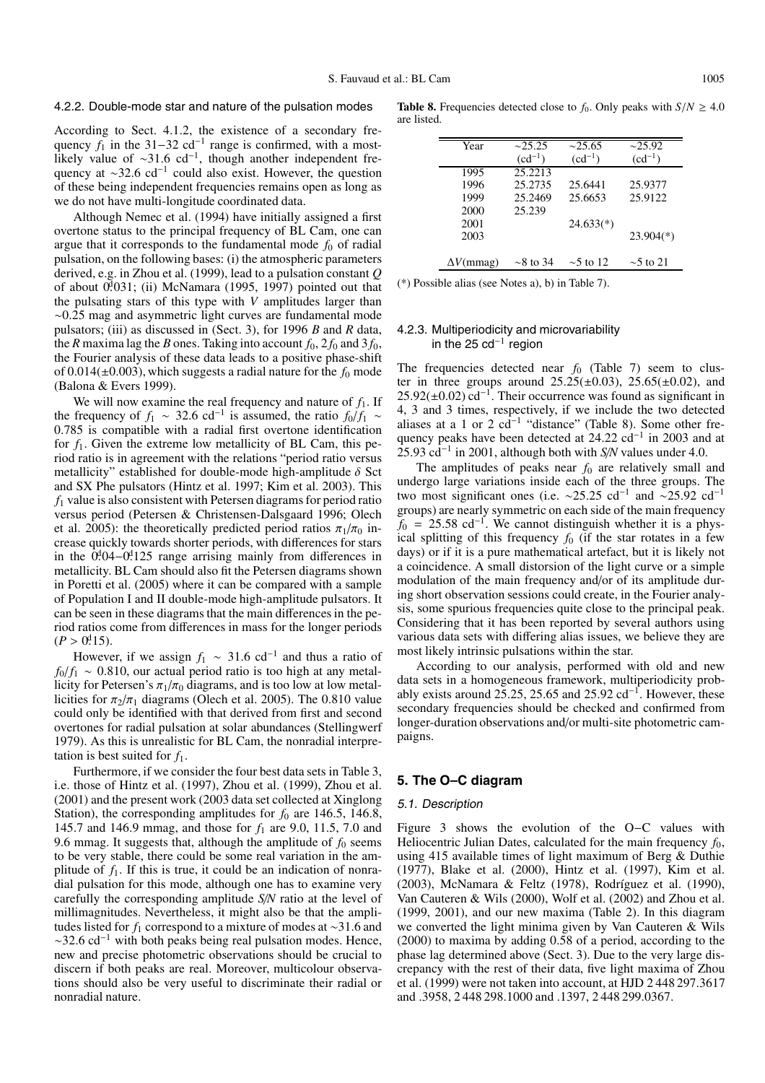#### 4.2.2. Double-mode star and nature of the pulsation modes

According to Sect. 4.1.2, the existence of a secondary frequency  $f_1$  in the 31−32 cd<sup>-1</sup> range is confirmed, with a mostlikely value of  $\sim$ 31.6 cd<sup>-1</sup>, though another independent frequency at ∼32.6 cd<sup>-1</sup> could also exist. However, the question of these being independent frequencies remains open as long as we do not have multi-longitude coordinated data.

Although Nemec et al. (1994) have initially assigned a first overtone status to the principal frequency of BL Cam, one can argue that it corresponds to the fundamental mode  $f_0$  of radial pulsation, on the following bases: (i) the atmospheric parameters derived, e.g. in Zhou et al. (1999), lead to a pulsation constant *Q* of about  $0.031$ ; (ii) McNamara (1995, 1997) pointed out that the pulsating stars of this type with *V* amplitudes larger than ∼0.25 mag and asymmetric light curves are fundamental mode pulsators; (iii) as discussed in (Sect. 3), for 1996 *B* and *R* data, the *R* maxima lag the *B* ones. Taking into account  $f_0$ ,  $2f_0$  and  $3f_0$ , the Fourier analysis of these data leads to a positive phase-shift of  $0.014(\pm 0.003)$ , which suggests a radial nature for the  $f_0$  mode (Balona & Evers 1999).

We will now examine the real frequency and nature of  $f_1$ . If the frequency of  $f_1 \sim 32.6$  cd<sup>-1</sup> is assumed, the ratio  $f_0/f_1 \sim$ 0.785 is compatible with a radial first overtone identification for *f*1. Given the extreme low metallicity of BL Cam, this period ratio is in agreement with the relations "period ratio versus metallicity" established for double-mode high-amplitude  $\delta$  Sct and SX Phe pulsators (Hintz et al. 1997; Kim et al. 2003). This *f*<sup>1</sup> value is also consistent with Petersen diagrams for period ratio versus period (Petersen & Christensen-Dalsgaard 1996; Olech et al. 2005): the theoretically predicted period ratios  $\pi_1/\pi_0$  increase quickly towards shorter periods, with differences for stars in the  $0.04 - 0.125$  range arrising mainly from differences in metallicity. BL Cam should also fit the Petersen diagrams shown in Poretti et al. (2005) where it can be compared with a sample of Population I and II double-mode high-amplitude pulsators. It can be seen in these diagrams that the main differences in the period ratios come from differences in mass for the longer periods  $(P > 0.15)$ .

However, if we assign  $f_1 \sim 31.6 \text{ cd}^{-1}$  and thus a ratio of  $f_0/f_1 \sim 0.810$ , our actual period ratio is too high at any metallicity for Petersen's  $\pi_1/\pi_0$  diagrams, and is too low at low metallicities for  $\pi_2/\pi_1$  diagrams (Olech et al. 2005). The 0.810 value could only be identified with that derived from first and second overtones for radial pulsation at solar abundances (Stellingwerf 1979). As this is unrealistic for BL Cam, the nonradial interpretation is best suited for  $f_1$ .

Furthermore, if we consider the four best data sets in Table 3, i.e. those of Hintz et al. (1997), Zhou et al. (1999), Zhou et al. (2001) and the present work (2003 data set collected at Xinglong Station), the corresponding amplitudes for  $f_0$  are 146.5, 146.8, 145.7 and 146.9 mmag, and those for *f*<sup>1</sup> are 9.0, 11.5, 7.0 and 9.6 mmag. It suggests that, although the amplitude of  $f_0$  seems to be very stable, there could be some real variation in the amplitude of  $f_1$ . If this is true, it could be an indication of nonradial pulsation for this mode, although one has to examine very carefully the corresponding amplitude *S*/*N* ratio at the level of millimagnitudes. Nevertheless, it might also be that the amplitudes listed for *f*<sup>1</sup> correspond to a mixture of modes at ∼31.6 and  $\sim$ 32.6 cd<sup>-1</sup> with both peaks being real pulsation modes. Hence, new and precise photometric observations should be crucial to discern if both peaks are real. Moreover, multicolour observations should also be very useful to discriminate their radial or nonradial nature.

**Table 8.** Frequencies detected close to  $f_0$ . Only peaks with  $S/N \geq 4.0$ are listed.

| Year              | $\sim$ 25.25   | $\sim$ 25.65   | $\sim$ 25.92   |
|-------------------|----------------|----------------|----------------|
|                   | $(cd^{-1})$    | $(cd^{-1})$    | $(cd^{-1})$    |
| 1995              | 25.2213        |                |                |
| 1996              | 25.2735        | 25.6441        | 25.9377        |
| 1999              | 25.2469        | 25.6653        | 25.9122        |
| 2000              | 25.239         |                |                |
| 2001              |                | $24.633(*)$    |                |
| 2003              |                |                | $23.904(*)$    |
|                   |                |                |                |
| $\Delta V$ (mmag) | $\sim$ 8 to 34 | $\sim$ 5 to 12 | $\sim$ 5 to 21 |

(\*) Possible alias (see Notes a), b) in Table 7).

## 4.2.3. Multiperiodicity and microvariability in the 25 cd−<sup>1</sup> region

The frequencies detected near  $f_0$  (Table 7) seem to cluster in three groups around  $25.25(\pm 0.03)$ ,  $25.65(\pm 0.02)$ , and  $25.92(\pm 0.02)$  cd<sup>-1</sup>. Their occurrence was found as significant in 4, 3 and 3 times, respectively, if we include the two detected aliases at a 1 or 2  $cd^{-1}$  "distance" (Table 8). Some other frequency peaks have been detected at 24.22 cd<sup>-1</sup> in 2003 and at 25.93 cd−<sup>1</sup> in 2001, although both with *S*/*N* values under 4.0.

The amplitudes of peaks near  $f_0$  are relatively small and undergo large variations inside each of the three groups. The two most significant ones (i.e. ∼25.25 cd−<sup>1</sup> and ∼25.92 cd−<sup>1</sup> groups) are nearly symmetric on each side of the main frequency  $f_0$  = 25.58 cd<sup>-1</sup>. We cannot distinguish whether it is a physical splitting of this frequency  $f_0$  (if the star rotates in a few days) or if it is a pure mathematical artefact, but it is likely not a coincidence. A small distorsion of the light curve or a simple modulation of the main frequency and/or of its amplitude during short observation sessions could create, in the Fourier analysis, some spurious frequencies quite close to the principal peak. Considering that it has been reported by several authors using various data sets with differing alias issues, we believe they are most likely intrinsic pulsations within the star.

According to our analysis, performed with old and new data sets in a homogeneous framework, multiperiodicity probably exists around 25.25, 25.65 and 25.92  $cd^{-1}$ . However, these secondary frequencies should be checked and confirmed from longer-duration observations and/or multi-site photometric campaigns.

## **5. The O–C diagram**

#### 5.1. Description

Figure 3 shows the evolution of the O−C values with Heliocentric Julian Dates, calculated for the main frequency  $f_0$ , using 415 available times of light maximum of Berg & Duthie (1977), Blake et al. (2000), Hintz et al. (1997), Kim et al. (2003), McNamara & Feltz (1978), Rodríguez et al. (1990), Van Cauteren & Wils (2000), Wolf et al. (2002) and Zhou et al. (1999, 2001), and our new maxima (Table 2). In this diagram we converted the light minima given by Van Cauteren & Wils (2000) to maxima by adding 0.58 of a period, according to the phase lag determined above (Sect. 3). Due to the very large discrepancy with the rest of their data, five light maxima of Zhou et al. (1999) were not taken into account, at HJD 2 448 297.3617 and .3958, 2 448 298.1000 and .1397, 2 448 299.0367.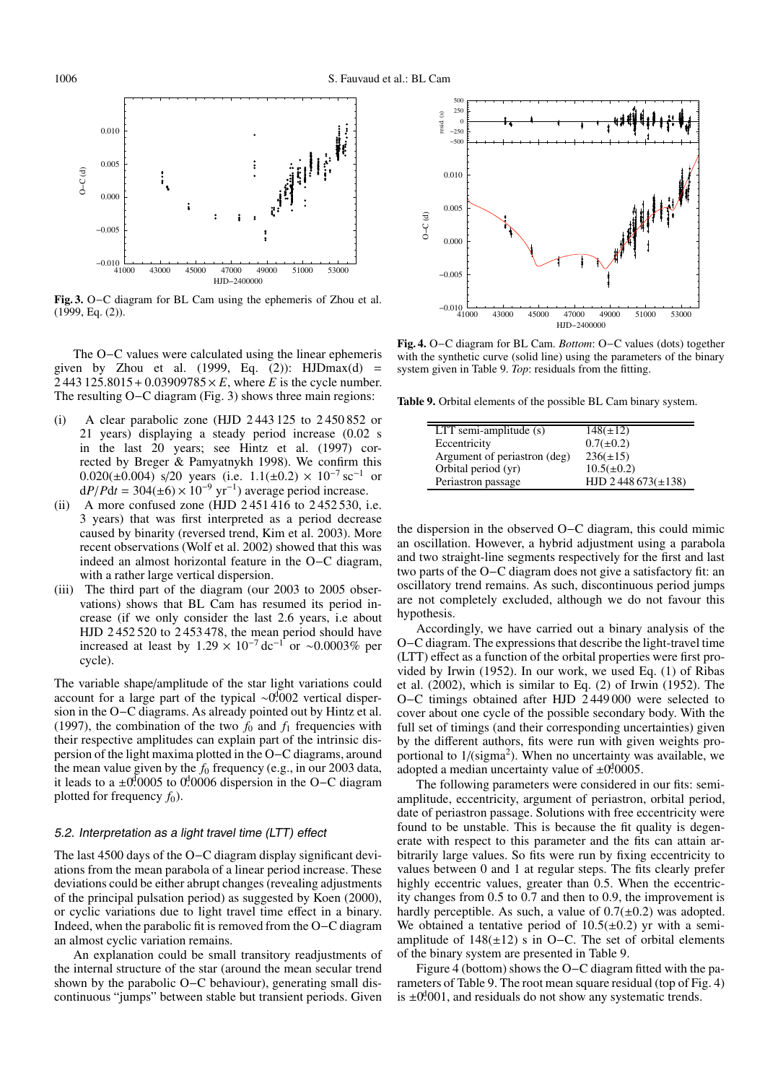

**Fig. 3.** O−C diagram for BL Cam using the ephemeris of Zhou et al. (1999, Eq. (2)).

The O−C values were calculated using the linear ephemeris given by Zhou et al.  $(1999, Eq. (2))$ : HJDmax $(d)$  =  $2\,443\,125.8015 + 0.03909785 \times E$ , where *E* is the cycle number. The resulting O−C diagram (Fig. 3) shows three main regions:

- (i) A clear parabolic zone (HJD 2 443 125 to 2 450 852 or 21 years) displaying a steady period increase (0.02 s in the last 20 years; see Hintz et al. (1997) corrected by Breger & Pamyatnykh 1998). We confirm this 0.020( $\pm$ 0.004) s/20 years (i.e. 1.1( $\pm$ 0.2) × 10<sup>-7</sup> sc<sup>-1</sup> or  $dP/Pdt = 304(\pm 6) \times 10^{-9} \text{ yr}^{-1}$  average period increase.
- (ii) A more confused zone (HJD  $2\,451\,416$  to  $2\,452\,530$ , i.e. 3 years) that was first interpreted as a period decrease caused by binarity (reversed trend, Kim et al. 2003). More recent observations (Wolf et al. 2002) showed that this was indeed an almost horizontal feature in the O−C diagram, with a rather large vertical dispersion.
- (iii) The third part of the diagram (our 2003 to 2005 observations) shows that BL Cam has resumed its period increase (if we only consider the last 2.6 years, i.e about HJD 2 452 520 to 2 453 478, the mean period should have increased at least by  $1.29 \times 10^{-7}$  dc<sup>-1</sup> or ~0.0003% per cycle).

The variable shape/amplitude of the star light variations could account for a large part of the typical ∼0<sup>0</sup>.002 vertical dispersion in the O−C diagrams. As already pointed out by Hintz et al. (1997), the combination of the two  $f_0$  and  $f_1$  frequencies with their respective amplitudes can explain part of the intrinsic dispersion of the light maxima plotted in the O−C diagrams, around the mean value given by the *f*<sub>0</sub> frequency (e.g., in our 2003 data, it leads to a ±0.0005 to 0.0006 dispersion in the O−C diagram plotted for frequency  $f_0$ ).

#### 5.2. Interpretation as <sup>a</sup> light travel time (LTT) effect

The last 4500 days of the O−C diagram display significant deviations from the mean parabola of a linear period increase. These deviations could be either abrupt changes (revealing adjustments of the principal pulsation period) as suggested by Koen (2000), or cyclic variations due to light travel time effect in a binary. Indeed, when the parabolic fit is removed from the O−C diagram an almost cyclic variation remains.

An explanation could be small transitory readjustments of the internal structure of the star (around the mean secular trend shown by the parabolic O−C behaviour), generating small discontinuous "jumps" between stable but transient periods. Given



**Fig. 4.** O−C diagram for BL Cam. *Bottom*: O−C values (dots) together with the synthetic curve (solid line) using the parameters of the binary system given in Table 9. *Top*: residuals from the fitting.

**Table 9.** Orbital elements of the possible BL Cam binary system.

| LTT semi-amplitude $(s)$     | $148(\pm 12)$           |
|------------------------------|-------------------------|
| Eccentricity                 | $0.7(\pm 0.2)$          |
| Argument of periastron (deg) | $236(\pm 15)$           |
| Orbital period (yr)          | $10.5(\pm 0.2)$         |
| Periastron passage           | HJD 2448673( $\pm$ 138) |
|                              |                         |

the dispersion in the observed O−C diagram, this could mimic an oscillation. However, a hybrid adjustment using a parabola and two straight-line segments respectively for the first and last two parts of the O−C diagram does not give a satisfactory fit: an oscillatory trend remains. As such, discontinuous period jumps are not completely excluded, although we do not favour this hypothesis.

Accordingly, we have carried out a binary analysis of the O−C diagram. The expressions that describe the light-travel time (LTT) effect as a function of the orbital properties were first provided by Irwin (1952). In our work, we used Eq. (1) of Ribas et al. (2002), which is similar to Eq. (2) of Irwin (1952). The O−C timings obtained after HJD 2 449 000 were selected to cover about one cycle of the possible secondary body. With the full set of timings (and their corresponding uncertainties) given by the different authors, fits were run with given weights proportional to  $1/(sigma^2)$ . When no uncertainty was available, we adopted a median uncertainty value of  $\pm 0.0005$ .

The following parameters were considered in our fits: semiamplitude, eccentricity, argument of periastron, orbital period, date of periastron passage. Solutions with free eccentricity were found to be unstable. This is because the fit quality is degenerate with respect to this parameter and the fits can attain arbitrarily large values. So fits were run by fixing eccentricity to values between 0 and 1 at regular steps. The fits clearly prefer highly eccentric values, greater than 0.5. When the eccentricity changes from 0.5 to 0.7 and then to 0.9, the improvement is hardly perceptible. As such, a value of  $0.7(\pm 0.2)$  was adopted. We obtained a tentative period of  $10.5(\pm 0.2)$  yr with a semiamplitude of 148(±12) s in O−C. The set of orbital elements of the binary system are presented in Table 9.

Figure 4 (bottom) shows the O−C diagram fitted with the parameters of Table 9. The root mean square residual (top of Fig. 4) is  $\pm 0.001$ , and residuals do not show any systematic trends.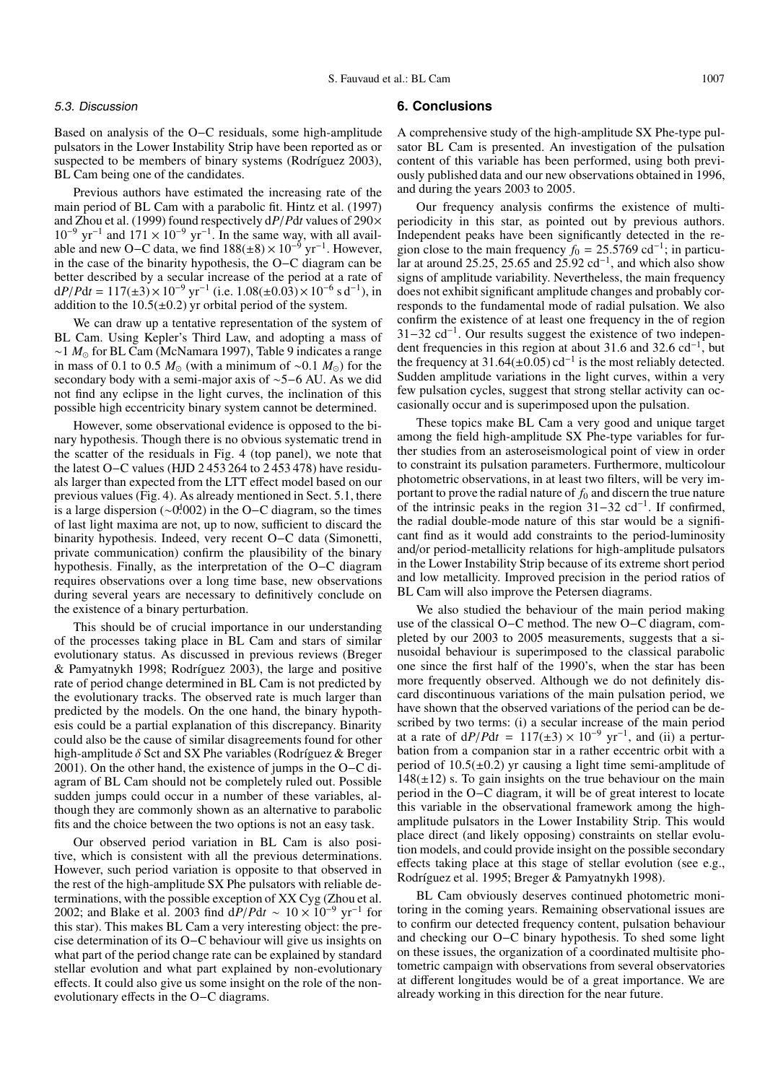#### 5.3. Discussion

Based on analysis of the O−C residuals, some high-amplitude pulsators in the Lower Instability Strip have been reported as or suspected to be members of binary systems (Rodríguez 2003), BL Cam being one of the candidates.

Previous authors have estimated the increasing rate of the main period of BL Cam with a parabolic fit. Hintz et al. (1997) and Zhou et al. (1999) found respectively d*P*/*P*d*t* values of 290×  $10^{-9}$  yr<sup>-1</sup> and  $171 \times 10^{-9}$  yr<sup>-1</sup>. In the same way, with all available and new O–C data, we find  $188(\pm 8) \times 10^{-9}$  yr<sup>-1</sup>. However, in the case of the binarity hypothesis, the O−C diagram can be better described by a secular increase of the period at a rate of  $dP/Pdt = 117(\pm 3) \times 10^{-9}$  yr<sup>-1</sup> (i.e.  $1.08(\pm 0.03) \times 10^{-6}$  s d<sup>-1</sup>), in addition to the  $10.5(\pm 0.2)$  yr orbital period of the system.

We can draw up a tentative representation of the system of BL Cam. Using Kepler's Third Law, and adopting a mass of ∼1 *M*<sub>o</sub> for BL Cam (McNamara 1997), Table 9 indicates a range in mass of 0.1 to 0.5  $M_{\odot}$  (with a minimum of ∼0.1  $M_{\odot}$ ) for the secondary body with a semi-major axis of ∼5−6 AU. As we did not find any eclipse in the light curves, the inclination of this possible high eccentricity binary system cannot be determined.

However, some observational evidence is opposed to the binary hypothesis. Though there is no obvious systematic trend in the scatter of the residuals in Fig. 4 (top panel), we note that the latest O−C values (HJD 2 453 264 to 2 453 478) have residuals larger than expected from the LTT effect model based on our previous values (Fig. 4). As already mentioned in Sect. 5.1, there is a large dispersion (∼0.002) in the O−C diagram, so the times of last light maxima are not, up to now, sufficient to discard the binarity hypothesis. Indeed, very recent O−C data (Simonetti, private communication) confirm the plausibility of the binary hypothesis. Finally, as the interpretation of the O−C diagram requires observations over a long time base, new observations during several years are necessary to definitively conclude on the existence of a binary perturbation.

This should be of crucial importance in our understanding of the processes taking place in BL Cam and stars of similar evolutionary status. As discussed in previous reviews (Breger & Pamyatnykh 1998; Rodríguez 2003), the large and positive rate of period change determined in BL Cam is not predicted by the evolutionary tracks. The observed rate is much larger than predicted by the models. On the one hand, the binary hypothesis could be a partial explanation of this discrepancy. Binarity could also be the cause of similar disagreements found for other high-amplitude  $\delta$  Sct and SX Phe variables (Rodríguez & Breger 2001). On the other hand, the existence of jumps in the O−C diagram of BL Cam should not be completely ruled out. Possible sudden jumps could occur in a number of these variables, although they are commonly shown as an alternative to parabolic fits and the choice between the two options is not an easy task.

Our observed period variation in BL Cam is also positive, which is consistent with all the previous determinations. However, such period variation is opposite to that observed in the rest of the high-amplitude SX Phe pulsators with reliable determinations, with the possible exception of XX Cyg (Zhou et al. 2002; and Blake et al. 2003 find d*P*/*P*d*t* ∼ 10 × 10−<sup>9</sup> yr−<sup>1</sup> for this star). This makes BL Cam a very interesting object: the precise determination of its O−C behaviour will give us insights on what part of the period change rate can be explained by standard stellar evolution and what part explained by non-evolutionary effects. It could also give us some insight on the role of the nonevolutionary effects in the O−C diagrams.

#### **6. Conclusions**

A comprehensive study of the high-amplitude SX Phe-type pulsator BL Cam is presented. An investigation of the pulsation content of this variable has been performed, using both previously published data and our new observations obtained in 1996, and during the years 2003 to 2005.

Our frequency analysis confirms the existence of multiperiodicity in this star, as pointed out by previous authors. Independent peaks have been significantly detected in the region close to the main frequency  $f_0 = 25.5769 \text{ cd}^{-1}$ ; in particular at around 25.25, 25.65 and 25.92  $cd^{-1}$ , and which also show signs of amplitude variability. Nevertheless, the main frequency does not exhibit significant amplitude changes and probably corresponds to the fundamental mode of radial pulsation. We also confirm the existence of at least one frequency in the of region <sup>31</sup>−32 cd−1. Our results suggest the existence of two independent frequencies in this region at about 31.6 and 32.6  $cd^{-1}$ , but the frequency at  $31.64(\pm 0.05)$  cd<sup>-1</sup> is the most reliably detected. Sudden amplitude variations in the light curves, within a very few pulsation cycles, suggest that strong stellar activity can occasionally occur and is superimposed upon the pulsation.

These topics make BL Cam a very good and unique target among the field high-amplitude SX Phe-type variables for further studies from an asteroseismological point of view in order to constraint its pulsation parameters. Furthermore, multicolour photometric observations, in at least two filters, will be very important to prove the radial nature of  $f_0$  and discern the true nature of the intrinsic peaks in the region 31−32 cd−1. If confirmed, the radial double-mode nature of this star would be a significant find as it would add constraints to the period-luminosity and/or period-metallicity relations for high-amplitude pulsators in the Lower Instability Strip because of its extreme short period and low metallicity. Improved precision in the period ratios of BL Cam will also improve the Petersen diagrams.

We also studied the behaviour of the main period making use of the classical O−C method. The new O−C diagram, completed by our 2003 to 2005 measurements, suggests that a sinusoidal behaviour is superimposed to the classical parabolic one since the first half of the 1990's, when the star has been more frequently observed. Although we do not definitely discard discontinuous variations of the main pulsation period, we have shown that the observed variations of the period can be described by two terms: (i) a secular increase of the main period at a rate of  $dP/Pdt = 117(\pm 3) \times 10^{-9}$  yr<sup>-1</sup>, and (ii) a perturbation from a companion star in a rather eccentric orbit with a period of  $10.5(\pm 0.2)$  yr causing a light time semi-amplitude of  $148(\pm 12)$  s. To gain insights on the true behaviour on the main period in the O−C diagram, it will be of great interest to locate this variable in the observational framework among the highamplitude pulsators in the Lower Instability Strip. This would place direct (and likely opposing) constraints on stellar evolution models, and could provide insight on the possible secondary effects taking place at this stage of stellar evolution (see e.g., Rodríguez et al. 1995; Breger & Pamyatnykh 1998).

BL Cam obviously deserves continued photometric monitoring in the coming years. Remaining observational issues are to confirm our detected frequency content, pulsation behaviour and checking our O−C binary hypothesis. To shed some light on these issues, the organization of a coordinated multisite photometric campaign with observations from several observatories at different longitudes would be of a great importance. We are already working in this direction for the near future.